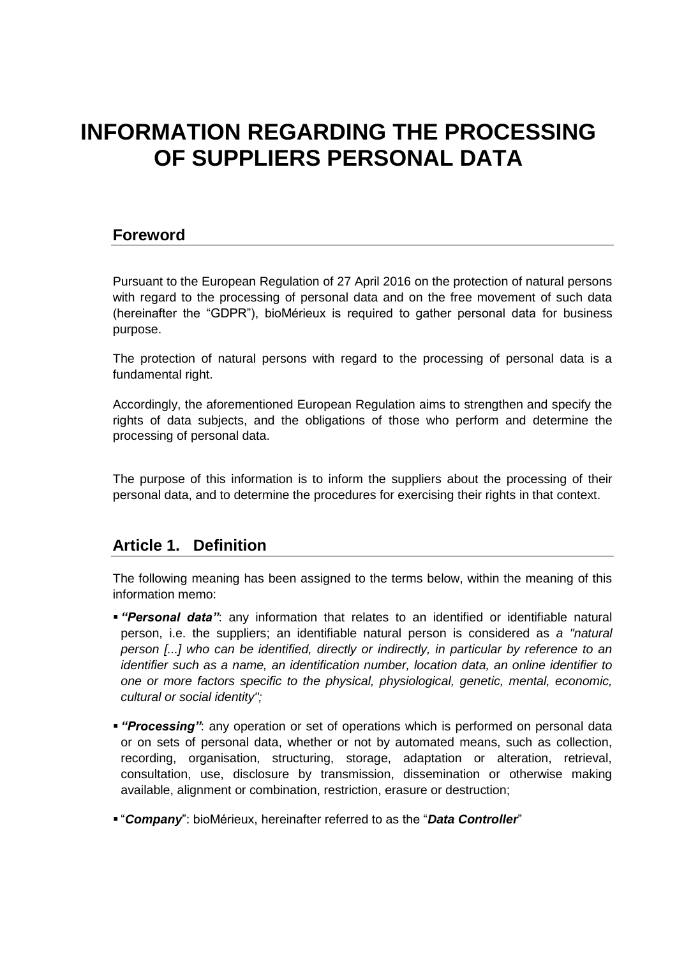# **INFORMATION REGARDING THE PROCESSING OF SUPPLIERS PERSONAL DATA**

### **Foreword**

Pursuant to the European Regulation of 27 April 2016 on the protection of natural persons with regard to the processing of personal data and on the free movement of such data (hereinafter the "GDPR"), bioMérieux is required to gather personal data for business purpose.

The protection of natural persons with regard to the processing of personal data is a fundamental right.

Accordingly, the aforementioned European Regulation aims to strengthen and specify the rights of data subjects, and the obligations of those who perform and determine the processing of personal data.

The purpose of this information is to inform the suppliers about the processing of their personal data, and to determine the procedures for exercising their rights in that context.

### **Article 1. Definition**

The following meaning has been assigned to the terms below, within the meaning of this information memo:

- *"Personal data"*: any information that relates to an identified or identifiable natural person, i.e. the suppliers; an identifiable natural person is considered as *a "natural person [...] who can be identified, directly or indirectly, in particular by reference to an identifier such as a name, an identification number, location data, an online identifier to one or more factors specific to the physical, physiological, genetic, mental, economic, cultural or social identity";*
- *"Processing"*: any operation or set of operations which is performed on personal data or on sets of personal data, whether or not by automated means, such as collection, recording, organisation, structuring, storage, adaptation or alteration, retrieval, consultation, use, disclosure by transmission, dissemination or otherwise making available, alignment or combination, restriction, erasure or destruction;
- "*Company*": bioMérieux, hereinafter referred to as the "*Data Controller*"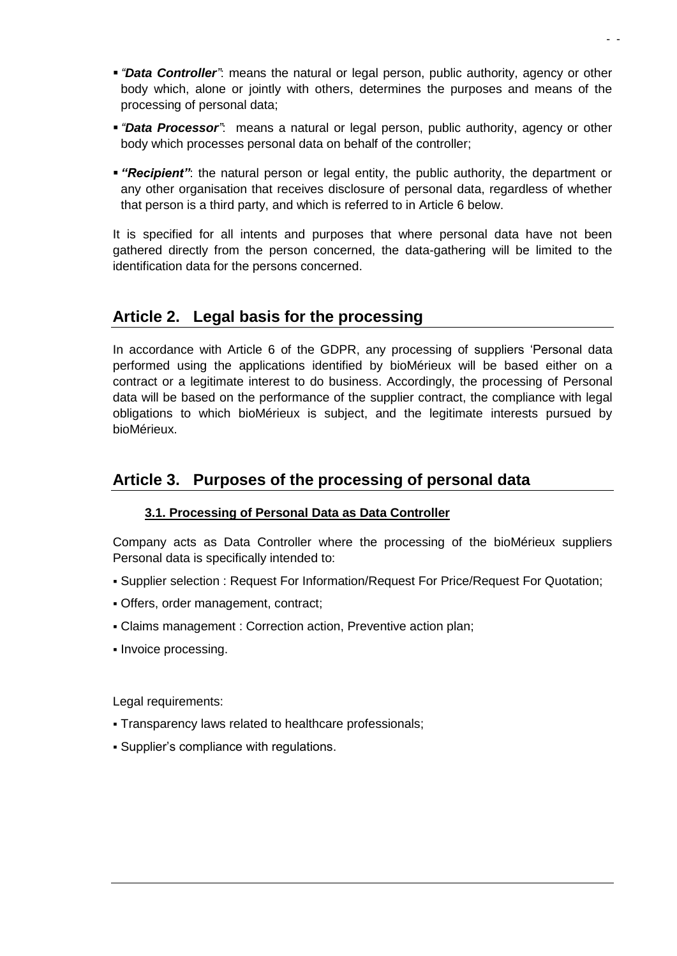- *"Data Controller"*: means the natural or legal person, public authority, agency or other body which, alone or jointly with others, determines the purposes and means of the processing of personal data;
- *"Data Processor"*: means a natural or legal person, public authority, agency or other body which processes personal data on behalf of the controller;
- *"Recipient"*: the natural person or legal entity, the public authority, the department or any other organisation that receives disclosure of personal data, regardless of whether that person is a third party, and which is referred to in Article 6 below.

It is specified for all intents and purposes that where personal data have not been gathered directly from the person concerned, the data-gathering will be limited to the identification data for the persons concerned.

### **Article 2. Legal basis for the processing**

In accordance with Article 6 of the GDPR, any processing of suppliers 'Personal data performed using the applications identified by bioMérieux will be based either on a contract or a legitimate interest to do business. Accordingly, the processing of Personal data will be based on the performance of the supplier contract, the compliance with legal obligations to which bioMérieux is subject, and the legitimate interests pursued by bioMérieux.

# **Article 3. Purposes of the processing of personal data**

### **3.1. Processing of Personal Data as Data Controller**

Company acts as Data Controller where the processing of the bioMérieux suppliers Personal data is specifically intended to:

- Supplier selection : Request For Information/Request For Price/Request For Quotation;
- Offers, order management, contract;
- Claims management : Correction action, Preventive action plan;
- Invoice processing.

Legal requirements:

- Transparency laws related to healthcare professionals;
- Supplier's compliance with regulations.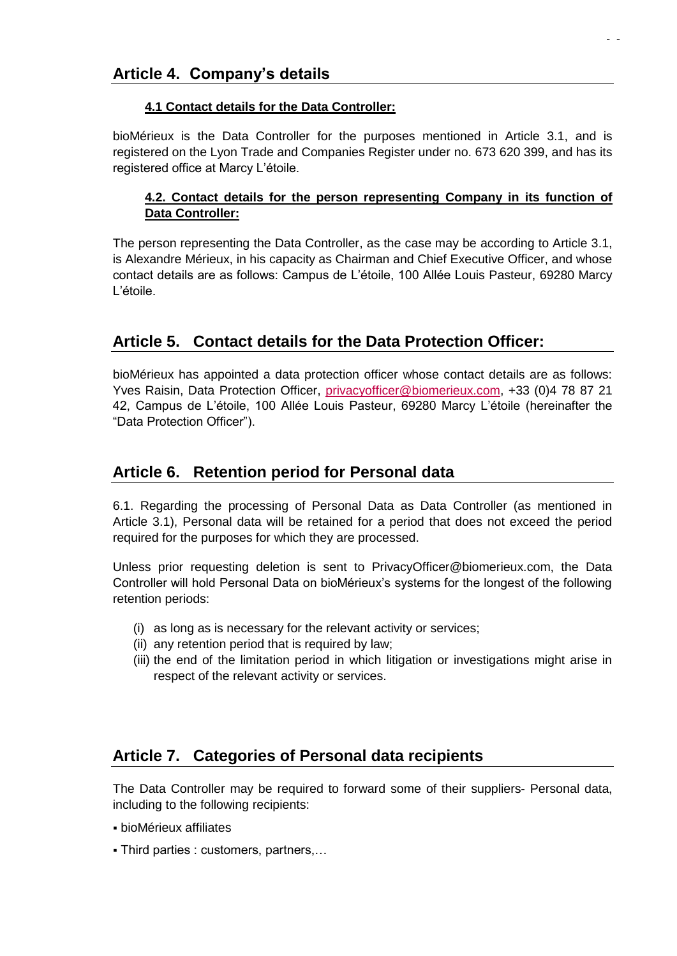### **4.1 Contact details for the Data Controller:**

bioMérieux is the Data Controller for the purposes mentioned in Article 3.1, and is registered on the Lyon Trade and Companies Register under no. 673 620 399, and has its registered office at Marcy L'étoile.

### **4.2. Contact details for the person representing Company in its function of Data Controller:**

The person representing the Data Controller, as the case may be according to Article 3.1, is Alexandre Mérieux, in his capacity as Chairman and Chief Executive Officer, and whose contact details are as follows: Campus de L'étoile, 100 Allée Louis Pasteur, 69280 Marcy L'étoile.

# **Article 5. Contact details for the Data Protection Officer:**

bioMérieux has appointed a data protection officer whose contact details are as follows: Yves Raisin, Data Protection Officer, [privacyofficer@biomerieux.com,](mailto:privacyofficer@biomerieux.com) +33 (0)4 78 87 21 42, Campus de L'étoile, 100 Allée Louis Pasteur, 69280 Marcy L'étoile (hereinafter the "Data Protection Officer").

# **Article 6. Retention period for Personal data**

6.1. Regarding the processing of Personal Data as Data Controller (as mentioned in Article 3.1), Personal data will be retained for a period that does not exceed the period required for the purposes for which they are processed.

Unless prior requesting deletion is sent to PrivacyOfficer@biomerieux.com, the Data Controller will hold Personal Data on bioMérieux's systems for the longest of the following retention periods:

- (i) as long as is necessary for the relevant activity or services;
- (ii) any retention period that is required by law;
- (iii) the end of the limitation period in which litigation or investigations might arise in respect of the relevant activity or services.

# **Article 7. Categories of Personal data recipients**

The Data Controller may be required to forward some of their suppliers- Personal data, including to the following recipients:

- bioMérieux affiliates
- Third parties : customers, partners,…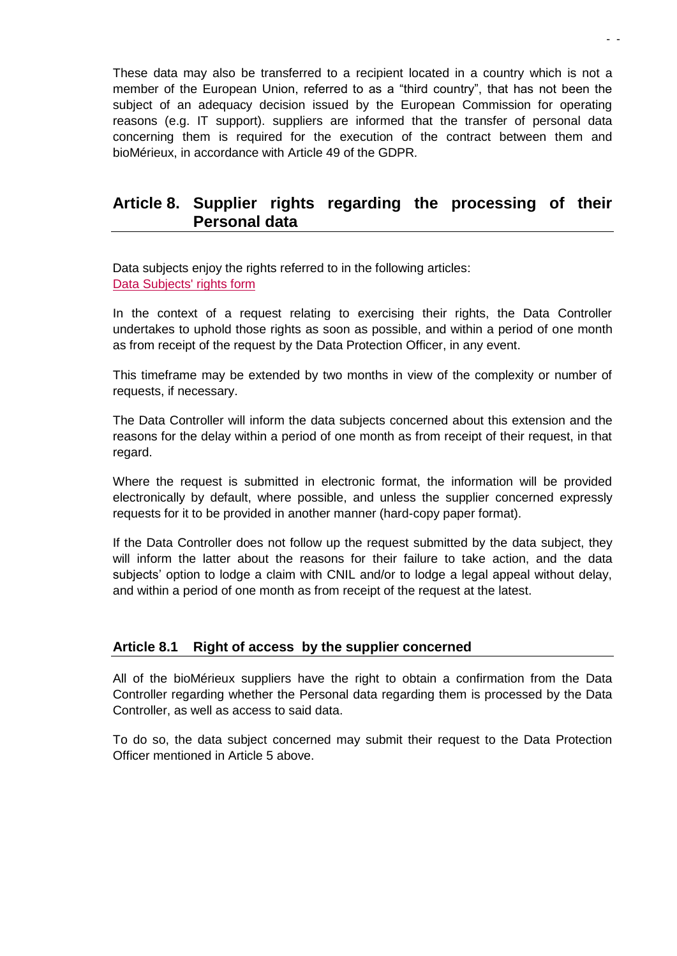These data may also be transferred to a recipient located in a country which is not a member of the European Union, referred to as a "third country", that has not been the subject of an adequacy decision issued by the European Commission for operating reasons (e.g. IT support). suppliers are informed that the transfer of personal data concerning them is required for the execution of the contract between them and bioMérieux, in accordance with Article 49 of the GDPR*.* 

### **Article 8. Supplier rights regarding the processing of their Personal data**

Data subjects enjoy the rights referred to in the following articles: [Data Subjects' rights form](https://www.biomerieux.com/en/rights-data-subjects)

In the context of a request relating to exercising their rights, the Data Controller undertakes to uphold those rights as soon as possible, and within a period of one month as from receipt of the request by the Data Protection Officer, in any event.

This timeframe may be extended by two months in view of the complexity or number of requests, if necessary.

The Data Controller will inform the data subjects concerned about this extension and the reasons for the delay within a period of one month as from receipt of their request, in that regard.

Where the request is submitted in electronic format, the information will be provided electronically by default, where possible, and unless the supplier concerned expressly requests for it to be provided in another manner (hard-copy paper format).

If the Data Controller does not follow up the request submitted by the data subject, they will inform the latter about the reasons for their failure to take action, and the data subjects' option to lodge a claim with CNIL and/or to lodge a legal appeal without delay, and within a period of one month as from receipt of the request at the latest.

### **Article 8.1 Right of access by the supplier concerned**

All of the bioMérieux suppliers have the right to obtain a confirmation from the Data Controller regarding whether the Personal data regarding them is processed by the Data Controller, as well as access to said data.

To do so, the data subject concerned may submit their request to the Data Protection Officer mentioned in Article 5 above.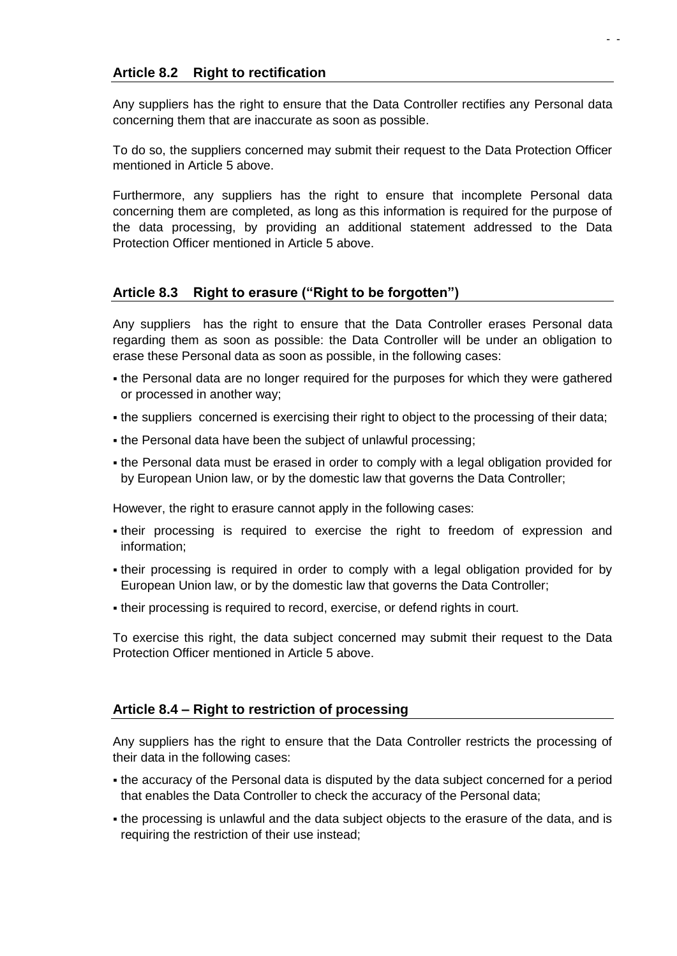Any suppliers has the right to ensure that the Data Controller rectifies any Personal data concerning them that are inaccurate as soon as possible.

- -

To do so, the suppliers concerned may submit their request to the Data Protection Officer mentioned in Article 5 above.

Furthermore, any suppliers has the right to ensure that incomplete Personal data concerning them are completed, as long as this information is required for the purpose of the data processing, by providing an additional statement addressed to the Data Protection Officer mentioned in Article 5 above.

### **Article 8.3 Right to erasure ("Right to be forgotten")**

Any suppliers has the right to ensure that the Data Controller erases Personal data regarding them as soon as possible: the Data Controller will be under an obligation to erase these Personal data as soon as possible, in the following cases:

- the Personal data are no longer required for the purposes for which they were gathered or processed in another way;
- the suppliers concerned is exercising their right to object to the processing of their data;
- the Personal data have been the subject of unlawful processing;
- the Personal data must be erased in order to comply with a legal obligation provided for by European Union law, or by the domestic law that governs the Data Controller;

However, the right to erasure cannot apply in the following cases:

- their processing is required to exercise the right to freedom of expression and information;
- their processing is required in order to comply with a legal obligation provided for by European Union law, or by the domestic law that governs the Data Controller;
- their processing is required to record, exercise, or defend rights in court.

To exercise this right, the data subject concerned may submit their request to the Data Protection Officer mentioned in Article 5 above.

### **Article 8.4 – Right to restriction of processing**

Any suppliers has the right to ensure that the Data Controller restricts the processing of their data in the following cases:

- the accuracy of the Personal data is disputed by the data subject concerned for a period that enables the Data Controller to check the accuracy of the Personal data;
- the processing is unlawful and the data subject objects to the erasure of the data, and is requiring the restriction of their use instead;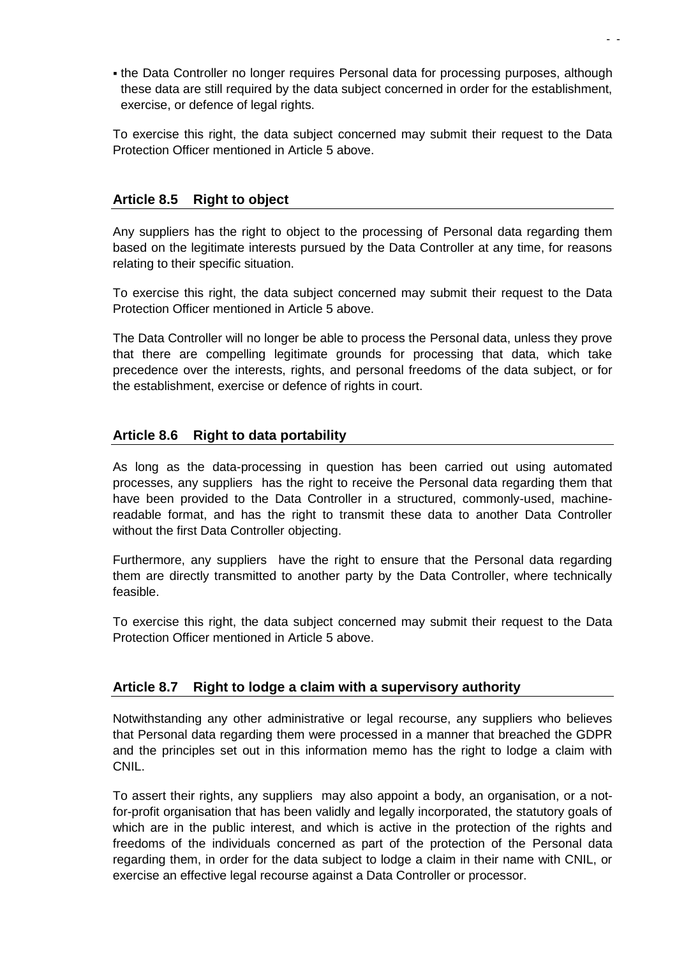the Data Controller no longer requires Personal data for processing purposes, although these data are still required by the data subject concerned in order for the establishment, exercise, or defence of legal rights.

To exercise this right, the data subject concerned may submit their request to the Data Protection Officer mentioned in Article 5 above.

#### **Article 8.5 Right to object**

Any suppliers has the right to object to the processing of Personal data regarding them based on the legitimate interests pursued by the Data Controller at any time, for reasons relating to their specific situation.

To exercise this right, the data subject concerned may submit their request to the Data Protection Officer mentioned in Article 5 above.

The Data Controller will no longer be able to process the Personal data, unless they prove that there are compelling legitimate grounds for processing that data, which take precedence over the interests, rights, and personal freedoms of the data subject, or for the establishment, exercise or defence of rights in court.

#### **Article 8.6 Right to data portability**

As long as the data-processing in question has been carried out using automated processes, any suppliers has the right to receive the Personal data regarding them that have been provided to the Data Controller in a structured, commonly-used, machinereadable format, and has the right to transmit these data to another Data Controller without the first Data Controller objecting.

Furthermore, any suppliers have the right to ensure that the Personal data regarding them are directly transmitted to another party by the Data Controller, where technically feasible.

To exercise this right, the data subject concerned may submit their request to the Data Protection Officer mentioned in Article 5 above.

### **Article 8.7 Right to lodge a claim with a supervisory authority**

Notwithstanding any other administrative or legal recourse, any suppliers who believes that Personal data regarding them were processed in a manner that breached the GDPR and the principles set out in this information memo has the right to lodge a claim with CNIL.

To assert their rights, any suppliers may also appoint a body, an organisation, or a notfor-profit organisation that has been validly and legally incorporated, the statutory goals of which are in the public interest, and which is active in the protection of the rights and freedoms of the individuals concerned as part of the protection of the Personal data regarding them, in order for the data subject to lodge a claim in their name with CNIL, or exercise an effective legal recourse against a Data Controller or processor.